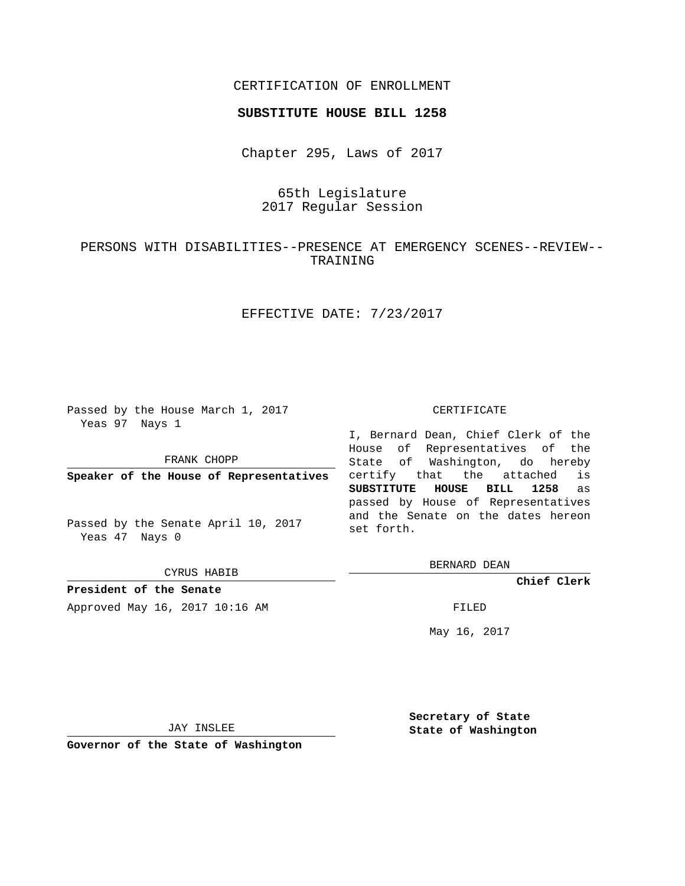# CERTIFICATION OF ENROLLMENT

#### **SUBSTITUTE HOUSE BILL 1258**

Chapter 295, Laws of 2017

# 65th Legislature 2017 Regular Session

# PERSONS WITH DISABILITIES--PRESENCE AT EMERGENCY SCENES--REVIEW-- TRAINING

# EFFECTIVE DATE: 7/23/2017

Passed by the House March 1, 2017 Yeas 97 Nays 1

FRANK CHOPP

**Speaker of the House of Representatives**

Passed by the Senate April 10, 2017 Yeas 47 Nays 0

CYRUS HABIB

**President of the Senate** Approved May 16, 2017 10:16 AM FILED

#### CERTIFICATE

I, Bernard Dean, Chief Clerk of the House of Representatives of the State of Washington, do hereby certify that the attached is **SUBSTITUTE HOUSE BILL 1258** as passed by House of Representatives and the Senate on the dates hereon set forth.

BERNARD DEAN

**Chief Clerk**

May 16, 2017

JAY INSLEE

**Governor of the State of Washington**

**Secretary of State State of Washington**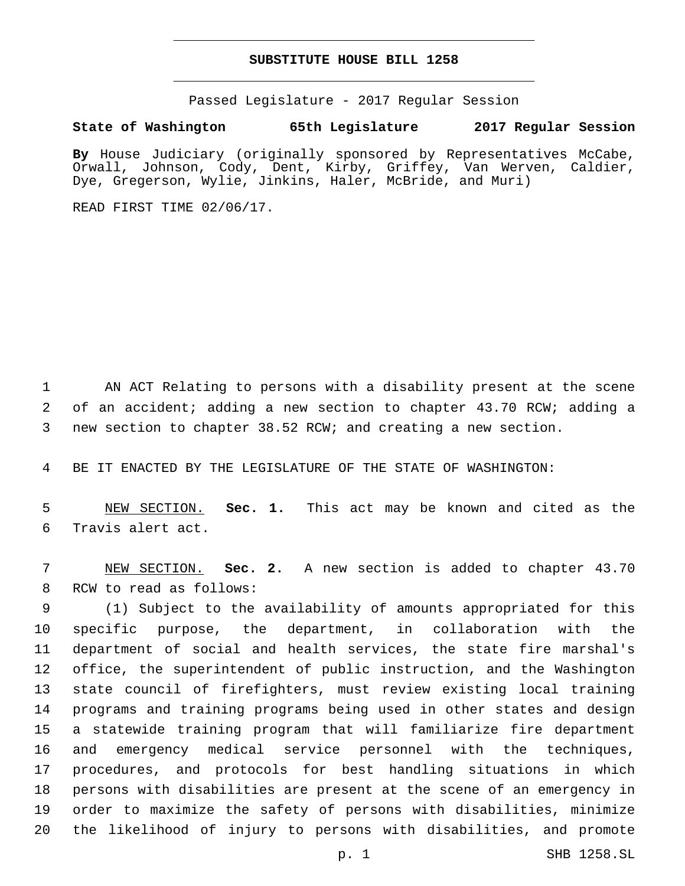## **SUBSTITUTE HOUSE BILL 1258**

Passed Legislature - 2017 Regular Session

## **State of Washington 65th Legislature 2017 Regular Session**

**By** House Judiciary (originally sponsored by Representatives McCabe, Orwall, Johnson, Cody, Dent, Kirby, Griffey, Van Werven, Caldier, Dye, Gregerson, Wylie, Jinkins, Haler, McBride, and Muri)

READ FIRST TIME 02/06/17.

 AN ACT Relating to persons with a disability present at the scene of an accident; adding a new section to chapter 43.70 RCW; adding a new section to chapter 38.52 RCW; and creating a new section.

BE IT ENACTED BY THE LEGISLATURE OF THE STATE OF WASHINGTON:

 NEW SECTION. **Sec. 1.** This act may be known and cited as the Travis alert act.

 NEW SECTION. **Sec. 2.** A new section is added to chapter 43.70 8 RCW to read as follows:

 (1) Subject to the availability of amounts appropriated for this specific purpose, the department, in collaboration with the department of social and health services, the state fire marshal's office, the superintendent of public instruction, and the Washington state council of firefighters, must review existing local training programs and training programs being used in other states and design a statewide training program that will familiarize fire department and emergency medical service personnel with the techniques, procedures, and protocols for best handling situations in which persons with disabilities are present at the scene of an emergency in order to maximize the safety of persons with disabilities, minimize the likelihood of injury to persons with disabilities, and promote

p. 1 SHB 1258.SL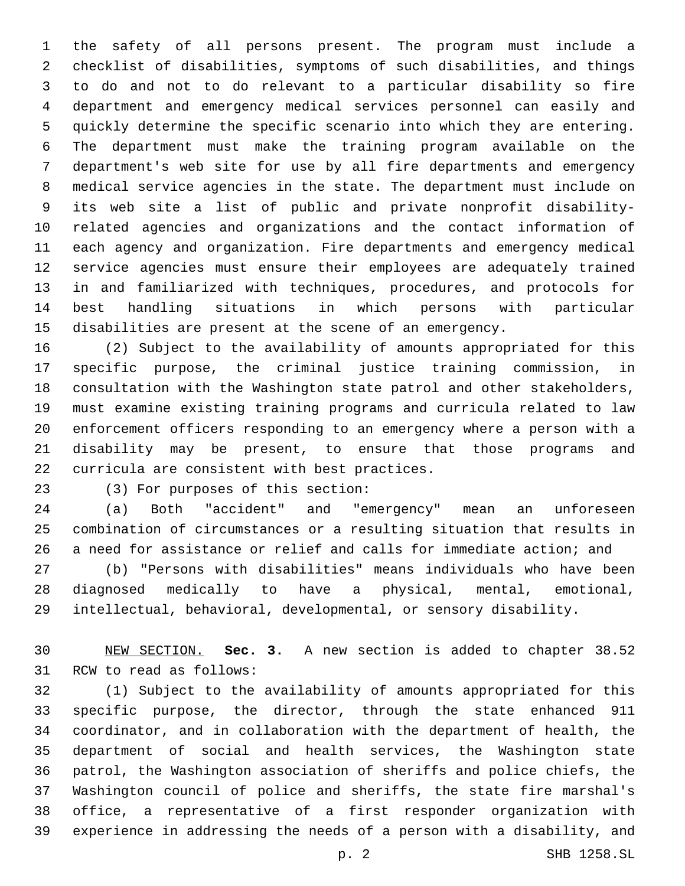the safety of all persons present. The program must include a checklist of disabilities, symptoms of such disabilities, and things to do and not to do relevant to a particular disability so fire department and emergency medical services personnel can easily and quickly determine the specific scenario into which they are entering. The department must make the training program available on the department's web site for use by all fire departments and emergency medical service agencies in the state. The department must include on its web site a list of public and private nonprofit disability- related agencies and organizations and the contact information of each agency and organization. Fire departments and emergency medical service agencies must ensure their employees are adequately trained in and familiarized with techniques, procedures, and protocols for best handling situations in which persons with particular disabilities are present at the scene of an emergency.

 (2) Subject to the availability of amounts appropriated for this specific purpose, the criminal justice training commission, in consultation with the Washington state patrol and other stakeholders, must examine existing training programs and curricula related to law enforcement officers responding to an emergency where a person with a disability may be present, to ensure that those programs and 22 curricula are consistent with best practices.

23 (3) For purposes of this section:

 (a) Both "accident" and "emergency" mean an unforeseen combination of circumstances or a resulting situation that results in a need for assistance or relief and calls for immediate action; and

 (b) "Persons with disabilities" means individuals who have been diagnosed medically to have a physical, mental, emotional, intellectual, behavioral, developmental, or sensory disability.

 NEW SECTION. **Sec. 3.** A new section is added to chapter 38.52 31 RCW to read as follows:

 (1) Subject to the availability of amounts appropriated for this specific purpose, the director, through the state enhanced 911 coordinator, and in collaboration with the department of health, the department of social and health services, the Washington state patrol, the Washington association of sheriffs and police chiefs, the Washington council of police and sheriffs, the state fire marshal's office, a representative of a first responder organization with experience in addressing the needs of a person with a disability, and

p. 2 SHB 1258.SL